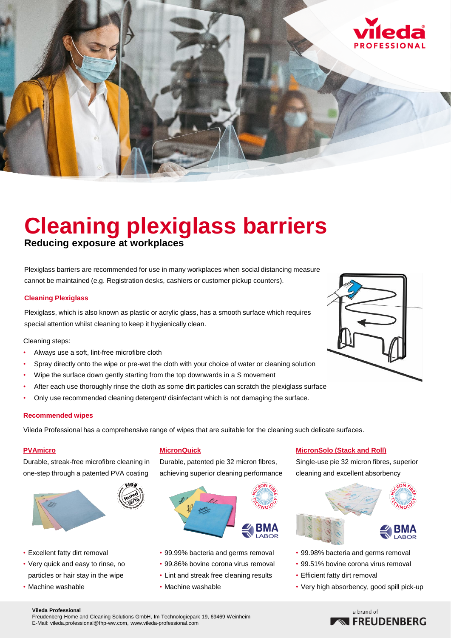

# **Cleaning plexiglass barriers**

**Reducing exposure at workplaces**

Plexiglass barriers are recommended for use in many workplaces when social distancing measure cannot be maintained (e.g. Registration desks, cashiers or customer pickup counters).

#### **Cleaning Plexiglass**

Plexiglass, which is also known as plastic or acrylic glass, has a smooth surface which requires special attention whilst cleaning to keep it hygienically clean.

Cleaning steps:

- Always use a soft, lint-free microfibre cloth
- Spray directly onto the wipe or pre-wet the cloth with your choice of water or cleaning solution
- Wipe the surface down gently starting from the top downwards in a S movement
- After each use thoroughly rinse the cloth as some dirt particles can scratch the plexiglass surface
- Only use recommended cleaning detergent/ disinfectant which is not damaging the surface.

#### **Recommended wipes**

Vileda Professional has a comprehensive range of wipes that are suitable for the cleaning such delicate surfaces.

#### **PVAmicro**

Durable, streak-free microfibre cleaning in one-step through a patented PVA coating



- Excellent fatty dirt removal
- Very quick and easy to rinse, no particles or hair stay in the wipe
- Machine washable

#### **MicronQuick**

Durable, patented pie 32 micron fibres, achieving superior cleaning performance



- 99.99% bacteria and germs removal
- 99.86% bovine corona virus removal
- Lint and streak free cleaning results
- Machine washable

### **MicronSolo (Stack and Roll)**

Single-use pie 32 micron fibres, superior cleaning and excellent absorbency



- 99.98% bacteria and germs removal
- 99.51% bovine corona virus removal
- Efficient fatty dirt removal
- Very high absorbency, good spill pick-up

#### **Vileda Professional**

Freudenberg Home and Cleaning Solutions GmbH, Im Technologiepark 19, 69469 Weinheim E-Mail: vileda.professional@fhp-ww.com, www.vileda-professional.com